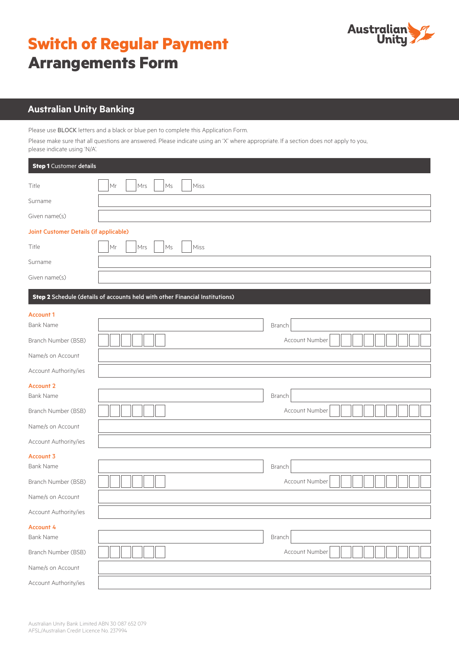# **Switch of Regular Payment Arrangements Form**



## **Australian Unity Banking**

Please use BLOCK letters and a black or blue pen to complete this Application Form.

Please make sure that all questions are answered. Please indicate using an 'X' where appropriate. If a section does not apply to you, please indicate using 'N/A'.

| <b>Step 1</b> Customer details         |                                                                              |                |  |  |  |
|----------------------------------------|------------------------------------------------------------------------------|----------------|--|--|--|
| Title                                  | Mrs<br>Miss<br>Mr<br>Ms                                                      |                |  |  |  |
| Surname                                |                                                                              |                |  |  |  |
| Given name(s)                          |                                                                              |                |  |  |  |
| Joint Customer Details (if applicable) |                                                                              |                |  |  |  |
| Title                                  | Miss<br>Mr<br>Mrs<br>Ms                                                      |                |  |  |  |
| Surname                                |                                                                              |                |  |  |  |
| Given name(s)                          |                                                                              |                |  |  |  |
|                                        | Step 2 Schedule (details of accounts held with other Financial Institutions) |                |  |  |  |
| <b>Account 1</b>                       |                                                                              |                |  |  |  |
| <b>Bank Name</b>                       |                                                                              | Branch         |  |  |  |
| Branch Number (BSB)                    |                                                                              | Account Number |  |  |  |
| Name/s on Account                      |                                                                              |                |  |  |  |
| Account Authority/ies                  |                                                                              |                |  |  |  |
| <b>Account 2</b>                       |                                                                              |                |  |  |  |
| <b>Bank Name</b>                       |                                                                              | Branch         |  |  |  |
| Branch Number (BSB)                    |                                                                              | Account Number |  |  |  |
| Name/s on Account                      |                                                                              |                |  |  |  |
| Account Authority/ies                  |                                                                              |                |  |  |  |
| Account 3<br><b>Bank Name</b>          |                                                                              | Branch         |  |  |  |
| Branch Number (BSB)                    |                                                                              | Account Number |  |  |  |
| Name/s on Account                      |                                                                              |                |  |  |  |
| Account Authority/ies                  |                                                                              |                |  |  |  |
| <b>Account 4</b><br><b>Bank Name</b>   |                                                                              | Branch         |  |  |  |
| Branch Number (BSB)                    |                                                                              | Account Number |  |  |  |
| Name/s on Account                      |                                                                              |                |  |  |  |
| Account Authority/ies                  |                                                                              |                |  |  |  |